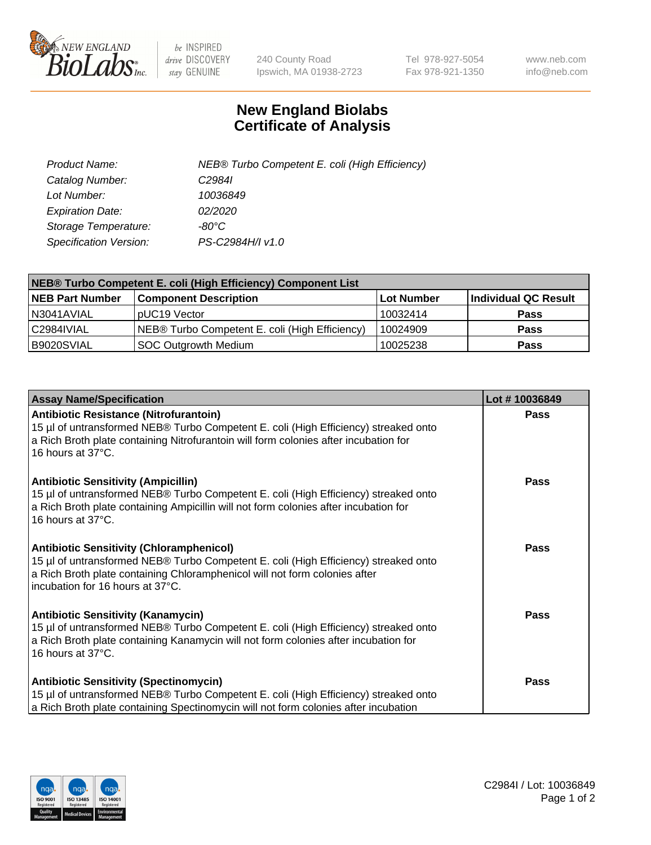

 $be$  INSPIRED drive DISCOVERY stay GENUINE

240 County Road Ipswich, MA 01938-2723 Tel 978-927-5054 Fax 978-921-1350 www.neb.com info@neb.com

## **New England Biolabs Certificate of Analysis**

| Product Name:           | NEB® Turbo Competent E. coli (High Efficiency) |
|-------------------------|------------------------------------------------|
| Catalog Number:         | C <sub>2984</sub>                              |
| Lot Number:             | 10036849                                       |
| <b>Expiration Date:</b> | <i>02/2020</i>                                 |
| Storage Temperature:    | -80°C                                          |
| Specification Version:  | PS-C2984H/I v1.0                               |

| NEB® Turbo Competent E. coli (High Efficiency) Component List |                                                |            |                      |  |
|---------------------------------------------------------------|------------------------------------------------|------------|----------------------|--|
| <b>NEB Part Number</b>                                        | <b>Component Description</b>                   | Lot Number | Individual QC Result |  |
| N3041AVIAL                                                    | pUC19 Vector                                   | 10032414   | <b>Pass</b>          |  |
| C2984IVIAL                                                    | NEB® Turbo Competent E. coli (High Efficiency) | 10024909   | <b>Pass</b>          |  |
| B9020SVIAL                                                    | <b>SOC Outgrowth Medium</b>                    | 10025238   | <b>Pass</b>          |  |

| <b>Assay Name/Specification</b>                                                                                                                                                                                                                          | Lot #10036849 |
|----------------------------------------------------------------------------------------------------------------------------------------------------------------------------------------------------------------------------------------------------------|---------------|
| Antibiotic Resistance (Nitrofurantoin)<br>15 µl of untransformed NEB® Turbo Competent E. coli (High Efficiency) streaked onto<br>a Rich Broth plate containing Nitrofurantoin will form colonies after incubation for<br>16 hours at 37°C.               | <b>Pass</b>   |
| <b>Antibiotic Sensitivity (Ampicillin)</b><br>15 µl of untransformed NEB® Turbo Competent E. coli (High Efficiency) streaked onto<br>a Rich Broth plate containing Ampicillin will not form colonies after incubation for<br>16 hours at 37°C.           | Pass          |
| <b>Antibiotic Sensitivity (Chloramphenicol)</b><br>15 µl of untransformed NEB® Turbo Competent E. coli (High Efficiency) streaked onto<br>a Rich Broth plate containing Chloramphenicol will not form colonies after<br>incubation for 16 hours at 37°C. | Pass          |
| <b>Antibiotic Sensitivity (Kanamycin)</b><br>15 µl of untransformed NEB® Turbo Competent E. coli (High Efficiency) streaked onto<br>a Rich Broth plate containing Kanamycin will not form colonies after incubation for<br>16 hours at 37°C.             | Pass          |
| <b>Antibiotic Sensitivity (Spectinomycin)</b><br>15 µl of untransformed NEB® Turbo Competent E. coli (High Efficiency) streaked onto<br>a Rich Broth plate containing Spectinomycin will not form colonies after incubation                              | Pass          |